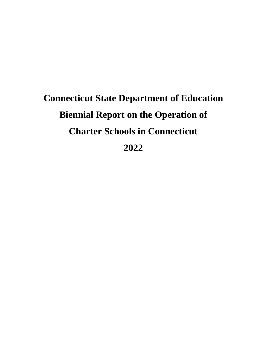# **Connecticut State Department of Education Biennial Report on the Operation of Charter Schools in Connecticut 2022**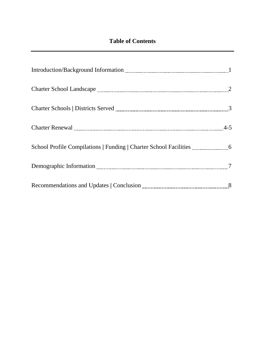# **Table of Contents**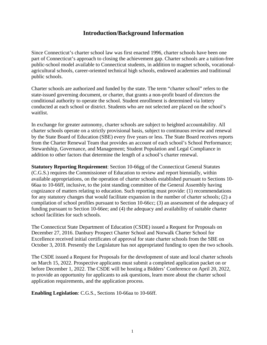#### **Introduction/Background Information**

<span id="page-2-0"></span>public schools. Since Connecticut's charter school law was first enacted 1996, charter schools have been one part of Connecticut's approach to closing the achievement gap. Charter schools are a tuition-free public-school model available to Connecticut students, in addition to magnet schools, vocationalagricultural schools, career-oriented technical high schools, endowed academies and traditional

public schools. Charter schools are authorized and funded by the state. The term "charter school" refers to the state-issued governing document, or charter, that grants a non-profit board of directors the conditional authority to operate the school. Student enrollment is determined via lottery conducted at each school or district. Students who are not selected are placed on the school's waitlist.

 from the Charter Renewal Team that provides an account of each school's School Performance; In exchange for greater autonomy, charter schools are subject to heighted accountability. All charter schools operate on a strictly provisional basis, subject to continuous review and renewal by the State Board of Education (SBE) every five years or less. The State Board receives reports Stewardship, Governance, and Management; Student Population and Legal Compliance in addition to other factors that determine the length of a school's charter renewal.

**Statutory Reporting Requirement**: Section 10-66gg of the Connecticut General Statutes (C.G.S.) requires the Commissioner of Education to review and report biennially, within available appropriations, on the operation of charter schools established pursuant to Sections 10- 66aa to 10-66ff, inclusive, to the joint standing committee of the General Assembly having cognizance of matters relating to education. Such reporting must provide: (1) recommendations for any statutory changes that would facilitate expansion in the number of charter schools; (2) a compilation of school profiles pursuant to Section 10-66cc; (3) an assessment of the adequacy of funding pursuant to Section 10-66ee; and (4) the adequacy and availability of suitable charter school facilities for such schools.

 December 27, 2016. Danbury Prospect Charter School and Norwalk Charter School for The Connecticut State Department of Education (CSDE) issued a Request for Proposals on Excellence received initial certificates of approval for state charter schools from the SBE on October 3, 2018. Presently the Legislature has not appropriated funding to open the two schools.

 The CSDE issued a Request for Proposals for the development of state and local charter schools on March 15, 2022. Prospective applicants must submit a completed application packet on or before December 1, 2022. The CSDE will be hosting a Bidders' Conference on April 20, 2022, to provide an opportunity for applicants to ask questions, learn more about the charter school application requirements, and the application process.

**Enabling Legislation**: C.G.S., Sections 10-66aa to 10-66ff.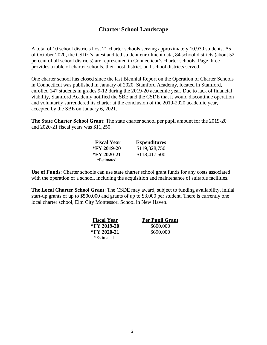### **Charter School Landscape**

<span id="page-3-0"></span> A total of 10 school districts host 21 charter schools serving approximately 10,930 students. As of October 2020, the CSDE's latest audited student enrollment data, 84 school districts (about 52 percent of all school districts) are represented in Connecticut's charter schools. Page three provides a table of charter schools, their host district, and school districts served.

One charter school has closed since the last Biennial Report on the Operation of Charter Schools in Connecticut was published in January of 2020. Stamford Academy, located in Stamford, enrolled 147 students in grades 9-12 during the 2019-20 academic year. Due to lack of financial viability, Stamford Academy notified the SBE and the CSDE that it would discontinue operation and voluntarily surrendered its charter at the conclusion of the 2019-2020 academic year, accepted by the SBE on January 6, 2021.

 and 2020-21 fiscal years was \$11,250. **The State Charter School Grant**: The state charter school per pupil amount for the 2019-20

| <b>Fiscal Year</b> | <b>Expenditures</b> |
|--------------------|---------------------|
| *FY 2019-20        | \$119,328,750       |
| *FY 2020-21        | \$118,417,500       |
| *Estimated         |                     |

**Use of Funds**: Charter schools can use state charter school grant funds for any costs associated with the operation of a school, including the acquisition and maintenance of suitable facilities.

 **The Local Charter School Grant**: The CSDE may award, subject to funding availability, initial start-up grants of up to \$500,000 and grants of up to \$3,000 per student. There is currently one local charter school, Elm City Montessori School in New Haven.

| <b>Fiscal Year</b> | <b>Per Pupil Grant</b> |
|--------------------|------------------------|
| *FY 2019-20        | \$600,000              |
| *FY 2020-21        | \$690,000              |
| *Estimated         |                        |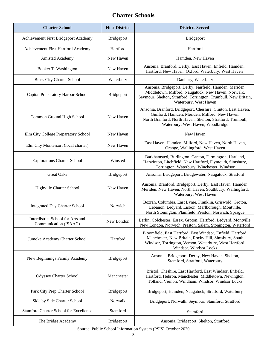## **Charter Schools**

| <b>Host District</b><br><b>Charter School</b>              |                   | <b>Districts Served</b>                                                                                                                                                                                            |  |
|------------------------------------------------------------|-------------------|--------------------------------------------------------------------------------------------------------------------------------------------------------------------------------------------------------------------|--|
| Achievement First Bridgeport Academy                       | Bridgeport        | Bridgeport                                                                                                                                                                                                         |  |
| Achievement First Hartford Academy                         | Hartford          | Hartford                                                                                                                                                                                                           |  |
| Amistad Academy                                            | New Haven         | Hamden, New Haven                                                                                                                                                                                                  |  |
| Booker T. Washington                                       | New Haven         | Ansonia, Branford, Derby, East Haven, Enfield, Hamden,<br>Hartford, New Haven, Oxford, Waterbury, West Haven                                                                                                       |  |
| <b>Brass City Charter School</b>                           | Waterbury         | Danbury, Waterbury                                                                                                                                                                                                 |  |
| Capital Preparatory Harbor School                          | <b>Bridgeport</b> | Ansonia, Bridgeport, Derby, Fairfield, Hamden, Meriden,<br>Middletown, Milford, Naugatuck, New Haven, Norwalk,<br>Seymour, Shelton, Stratford, Torrington, Trumbull, New Britain,<br>Waterbury, West Haven         |  |
| Common Ground High School                                  | New Haven         | Ansonia, Branford, Bridgeport, Cheshire, Clinton, East Haven,<br>Guilford, Hamden, Meriden, Milford, New Haven,<br>North Branford, North Haven, Shelton, Stratford, Trumbull,<br>Waterbury, West Haven, Woodbridge |  |
| Elm City College Preparatory School                        | New Haven         | New Haven                                                                                                                                                                                                          |  |
| Elm City Montessori (local charter)                        | New Haven         | East Haven, Hamden, Milford, New Haven, North Haven,<br>Orange, Wallingford, West Haven                                                                                                                            |  |
| <b>Explorations Charter School</b>                         | Winsted           | Barkhamsted, Burlington, Canton, Farmington, Hartland,<br>Harwinton, Litchfield, New Hartford, Plymouth, Simsbury,<br>Torrington, Waterbury, Winchester, Windsor                                                   |  |
| <b>Great Oaks</b>                                          | Bridgeport        | Ansonia, Bridgeport, Bridgewater, Naugatuck, Stratford                                                                                                                                                             |  |
| Highville Charter School                                   | New Haven         | Ansonia, Branford, Bridgeport, Derby, East Haven, Hamden,<br>Meriden, New Haven, North Haven, Southbury, Wallingford,<br>Waterbury, West Haven                                                                     |  |
| <b>Integrated Day Charter School</b>                       | Norwich           | Bozrah, Columbia, East Lyme, Franklin, Griswold, Groton,<br>Lebanon, Ledyard, Lisbon, Marlborough, Montville,<br>North Stonington, Plainfield, Preston, Norwich, Sprague                                           |  |
| Interdistrict School for Arts and<br>Communication (ISAAC) | New London        | Berlin, Colchester, Essex, Groton, Hartford, Ledyard, Montville,<br>New London, Norwich, Preston, Salem, Stonington, Waterford                                                                                     |  |
| Jumoke Academy Charter School                              | Hartford          | Bloomfield, East Hartford, East Windsor, Enfield, Hartford,<br>Manchester, New Britain, Rocky Hill, Simsbury, South<br>Windsor, Torrington, Vernon, Waterbury, West Hartford,<br>Windsor, Windsor Locks            |  |
| New Beginnings Family Academy                              | Bridgeport        | Ansonia, Bridgeport, Derby, New Haven, Shelton,<br>Stamford, Stratford, Waterbury                                                                                                                                  |  |
| <b>Odyssey Charter School</b>                              | Manchester        | Bristol, Cheshire, East Hartford, East Windsor, Enfield,<br>Hartford, Hebron, Manchester, Middletown, Newington,<br>Tolland, Vernon, Windham, Windsor, Windsor Locks                                               |  |
| Park City Prep Charter School                              | Bridgeport        | Bridgeport, Hamden, Naugatuck, Stratford, Waterbury                                                                                                                                                                |  |
| Side by Side Charter School                                | Norwalk           | Bridgeport, Norwalk, Seymour, Stamford, Stratford                                                                                                                                                                  |  |
| Stamford Charter School for Excellence                     | Stamford          | Stamford                                                                                                                                                                                                           |  |
| The Bridge Academy                                         | Bridgeport        | Ansonia, Bridgeport, Shelton, Stratford                                                                                                                                                                            |  |

Source: Public School Information System (PSIS) October 2020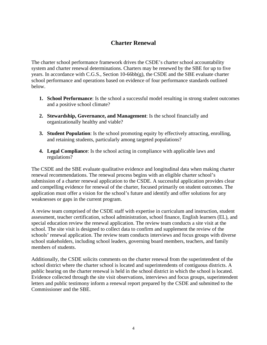## **Charter Renewal**

 system and charter renewal determinations. Charters may be renewed by the SBE for up to five The charter school performance framework drives the CSDE's charter school accountability years. In accordance with C.G.S., Section 10-66bb(g), the CSDE and the SBE evaluate charter school performance and operations based on evidence of four performance standards outlined below.

- **1. School Performance**: Is the school a successful model resulting in strong student outcomes and a positive school climate?
- **2. Stewardship, Governance, and Management**: Is the school financially and organizationally healthy and viable?
- **3. Student Population**: Is the school promoting equity by effectively attracting, enrolling, and retaining students, particularly among targeted populations?
- regulations? **4. Legal Compliance**: Is the school acting in compliance with applicable laws and

 submission of a charter renewal application to the CSDE. A successful application provides clear application must offer a vision for the school's future and identify and offer solutions for any The CSDE and the SBE evaluate qualitative evidence and longitudinal data when making charter renewal recommendations. The renewal process begins with an eligible charter school's and compelling evidence for renewal of the charter, focused primarily on student outcomes. The weaknesses or gaps in the current program.

A review team comprised of the CSDE staff with expertise in curriculum and instruction, student assessment, teacher certification, school administration, school finance, English learners (EL), and special education review the renewal application. The review team conducts a site visit at the school. The site visit is designed to collect data to confirm and supplement the review of the schools' renewal application. The review team conducts interviews and focus groups with diverse school stakeholders, including school leaders, governing board members, teachers, and family members of students.

Additionally, the CSDE solicits comments on the charter renewal from the superintendent of the school district where the charter school is located and superintendents of contiguous districts. A public hearing on the charter renewal is held in the school district in which the school is located. Evidence collected through the site visit observations, interviews and focus groups, superintendent letters and public testimony inform a renewal report prepared by the CSDE and submitted to the Commissioner and the SBE.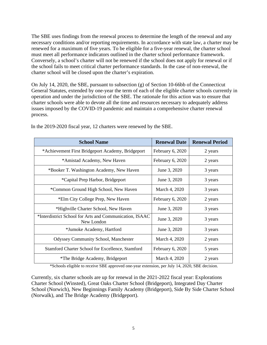Conversely, a school's charter will not be renewed if the school does not apply for renewal or if charter school will be closed upon the charter's expiration. The SBE uses findings from the renewal process to determine the length of the renewal and any necessary conditions and/or reporting requirements. In accordance with state law, a charter may be renewed for a maximum of five years. To be eligible for a five-year renewal, the charter school must meet all performance indicators outlined in the charter school performance framework. the school fails to meet critical charter performance standards. In the case of non-renewal, the

 charter schools were able to devote all the time and resources necessary to adequately address On July 14, 2020, the SBE, pursuant to subsection (g) of Section 10-66bb of the Connecticut General Statutes, extended by one-year the term of each of the eligible charter schools currently in operation and under the jurisdiction of the SBE. The rationale for this action was to ensure that issues imposed by the COVID-19 pandemic and maintain a comprehensive charter renewal process.

| <b>School Name</b>                                                    | <b>Renewal Date</b> | <b>Renewal Period</b> |
|-----------------------------------------------------------------------|---------------------|-----------------------|
| *Achievement First Bridgeport Academy, Bridgeport                     | February 6, 2020    | 2 years               |
| *Amistad Academy, New Haven                                           | February 6, 2020    | 2 years               |
| *Booker T. Washington Academy, New Haven                              | June 3, 2020        | 3 years               |
| *Capital Prep Harbor, Bridgeport                                      | June 3, 2020        | 3 years               |
| *Common Ground High School, New Haven                                 | March 4, 2020       | 3 years               |
| *Elm City College Prep, New Haven                                     | February 6, 2020    | 2 years               |
| *Highville Charter School, New Haven                                  | June 3, 2020        | 3 years               |
| *Interdistrict School for Arts and Communication, ISAAC<br>New London | June 3, 2020        | 3 years               |
| *Jumoke Academy, Hartford                                             | June 3, 2020        | 3 years               |
| <b>Odyssey Community School, Manchester</b>                           | March 4, 2020       | 2 years               |
| Stamford Charter School for Excellence, Stamford                      | February 6, 2020    | 5 years               |
| *The Bridge Academy, Bridgeport                                       | March 4, 2020       | 2 years               |

In the 2019-2020 fiscal year, 12 charters were renewed by the SBE.

\*Schools eligible to receive SBE approved one-year extension, per July 14, 2020, SBE decision.

 (Norwalk), and The Bridge Academy (Bridgeport). Currently, six charter schools are up for renewal in the 2021-2022 fiscal year: Explorations Charter School (Winsted), Great Oaks Charter School (Bridgeport), Integrated Day Charter School (Norwich), New Beginnings Family Academy (Bridgeport), Side By Side Charter School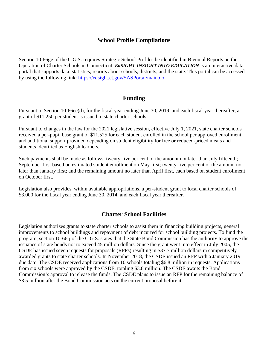#### **School Profile Compilations**

<span id="page-7-0"></span> Section 10-66gg of the C.G.S. requires Strategic School Profiles be identified in Biennial Reports on the  Operation of Charter Schools in Connecticut. *EdSIGHT-INSIGHT INTO EDUCATION* is an interactive data by using the following link: https://edsight.ct.gov/SASPortal/main.do portal that supports data, statistics, reports about schools, districts, and the state. This portal can be accessed

#### **Funding**

 grant of \$11,250 per student is issued to state charter schools. Pursuant to Section 10-66ee(d), for the fiscal year ending June 30, 2019, and each fiscal year thereafter, a

 received a per-pupil base grant of \$11,525 for each student enrolled in the school per approved enrollment Pursuant to changes in the law for the 2021 legislative session, effective July 1, 2021, state charter schools and additional support provided depending on student eligibility for free or reduced-priced meals and students identified as English learners.

 Such payments shall be made as follows: twenty-five per cent of the amount not later than July fifteenth; September first based on estimated student enrollment on May first; twenty-five per cent of the amount no later than January first; and the remaining amount no later than April first, each based on student enrollment on October first.

Legislation also provides, within available appropriations, a per-student grant to local charter schools of \$3,000 for the fiscal year ending June 30, 2014, and each fiscal year thereafter.

#### **Charter School Facilities**

 Legislation authorizes grants to state charter schools to assist them in financing building projects, general issuance of state bonds not to exceed 45 million dollars. Since the grant went into effect in July 2005, the from six schools were approved by the CSDE, totaling \$3.8 million. The CSDE awaits the Bond improvements to school buildings and repayment of debt incurred for school building projects. To fund the program, section 10-66jj of the C.G.S. states that the State Bond Commission has the authority to approve the CSDE has issued seven requests for proposals (RFPs) resulting in \$37.7 million dollars in competitively awarded grants to state charter schools. In November 2018, the CSDE issued an RFP with a January 2019 due date. The CSDE received applications from 10 schools totaling \$6.8 million in requests. Applications Commission's approval to release the funds. The CSDE plans to issue an RFP for the remaining balance of \$3.5 million after the Bond Commission acts on the current proposal before it.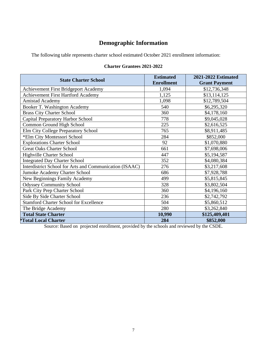# **Demographic Information**

The following table represents charter school estimated October 2021 enrollment information:

# **Charter Grantees 2021-2022**

| <b>State Charter School</b>                             | <b>Estimated</b>  | <b>2021-2022 Estimated</b> |
|---------------------------------------------------------|-------------------|----------------------------|
|                                                         | <b>Enrollment</b> | <b>Grant Payment</b>       |
| Achievement First Bridgeport Academy                    | 1,094             | \$12,736,348               |
| <b>Achievement First Hartford Academy</b>               | 1,125             | \$13,114,125               |
| <b>Amistad Academy</b>                                  | 1,098             | \$12,789,504               |
| Booker T. Washington Academy                            | 540               | \$6,295,320                |
| <b>Brass City Charter School</b>                        | 360               | \$4,178,160                |
| Capital Preparatory Harbor School                       | 778               | \$9,045,028                |
| Common Ground High School                               | 225               | \$2,616,525                |
| Elm City College Preparatory School                     | 765               | \$8,911,485                |
| *Elm City Montessori School                             | 284               | \$852,000                  |
| <b>Explorations Charter School</b>                      | 92                | \$1,070,880                |
| <b>Great Oaks Charter School</b>                        | 661               | \$7,698,006                |
| <b>Highville Charter School</b>                         | 447               | \$5,194,587                |
| <b>Integrated Day Charter School</b>                    | 352               | \$4,080,384                |
| Interdistrict School for Arts and Communication (ISAAC) | 276               | \$3,217,608                |
| Jumoke Academy Charter School                           | 686               | \$7,928,788                |
| New Beginnings Family Academy                           | 499               | \$5,815,845                |
| <b>Odyssey Community School</b>                         | 328               | \$3,802,504                |
| Park City Prep Charter School                           | 360               | \$4,196,160                |
| Side By Side Charter School                             | 236               | \$2,742,792                |
| <b>Stamford Charter School for Excellence</b>           | 504               | \$5,860,512                |
| The Bridge Academy                                      | 280               | \$3,262,840                |
| <b>Total State Charter</b>                              | 10,990            | \$125,409,401              |
| *Total Local Charter                                    | 284               | \$852,000                  |

Source: Based on projected enrollment, provided by the schools and reviewed by the CSDE.